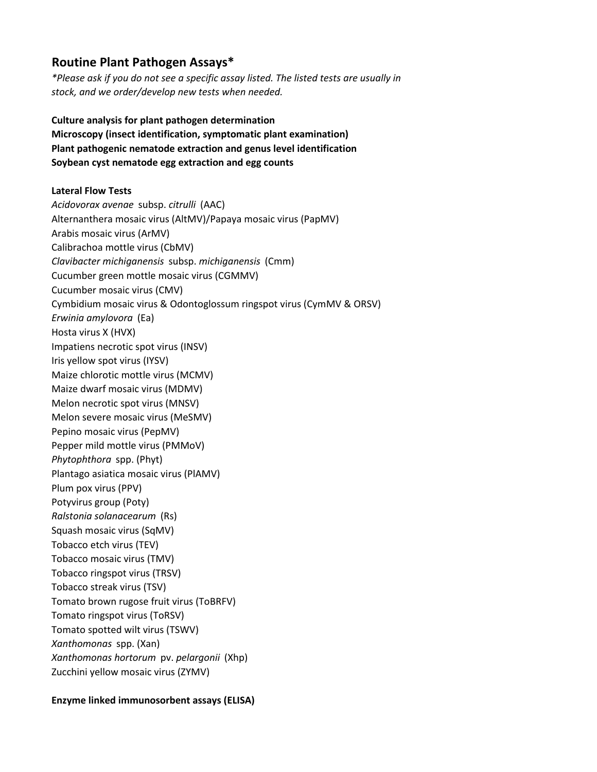# **Routine Plant Pathogen Assays\***

*\*Please ask if you do not see a specific assay listed. The listed tests are usually in stock, and we order/develop new tests when needed.*

**Culture analysis for plant pathogen determination Microscopy (insect identification, symptomatic plant examination) Plant pathogenic nematode extraction and genus level identification Soybean cyst nematode egg extraction and egg counts**

## **Lateral Flow Tests**

*Acidovorax avenae* subsp. *citrulli* (AAC) Alternanthera mosaic virus (AltMV)/Papaya mosaic virus (PapMV) Arabis mosaic virus (ArMV) Calibrachoa mottle virus (CbMV) *Clavibacter michiganensis* subsp. *michiganensis* (Cmm) Cucumber green mottle mosaic virus (CGMMV) Cucumber mosaic virus (CMV) Cymbidium mosaic virus & Odontoglossum ringspot virus (CymMV & ORSV) *Erwinia amylovora* (Ea) Hosta virus X (HVX) Impatiens necrotic spot virus (INSV) Iris yellow spot virus (IYSV) Maize chlorotic mottle virus (MCMV) Maize dwarf mosaic virus (MDMV) Melon necrotic spot virus (MNSV) Melon severe mosaic virus (MeSMV) Pepino mosaic virus (PepMV) Pepper mild mottle virus (PMMoV) *Phytophthora* spp. (Phyt) Plantago asiatica mosaic virus (PlAMV) Plum pox virus (PPV) Potyvirus group (Poty) *Ralstonia solanacearum* (Rs) Squash mosaic virus (SqMV) Tobacco etch virus (TEV) Tobacco mosaic virus (TMV) Tobacco ringspot virus (TRSV) Tobacco streak virus (TSV) Tomato brown rugose fruit virus (ToBRFV) Tomato ringspot virus (ToRSV) Tomato spotted wilt virus (TSWV) *Xanthomonas* spp. (Xan) *Xanthomonas hortorum* pv. *pelargonii* (Xhp) Zucchini yellow mosaic virus (ZYMV)

### **Enzyme linked immunosorbent assays (ELISA)**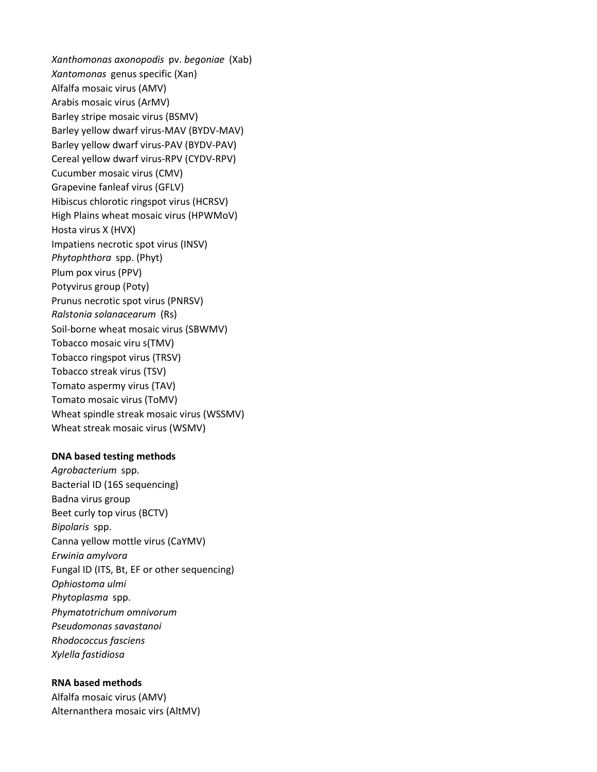*Xanthomonas axonopodis* pv. *begoniae* (Xab) *Xantomonas* genus specific (Xan) Alfalfa mosaic virus (AMV) Arabis mosaic virus (ArMV) Barley stripe mosaic virus (BSMV) Barley yellow dwarf virus-MAV (BYDV-MAV) Barley yellow dwarf virus-PAV (BYDV-PAV) Cereal yellow dwarf virus-RPV (CYDV-RPV) Cucumber mosaic virus (CMV) Grapevine fanleaf virus (GFLV) Hibiscus chlorotic ringspot virus (HCRSV) High Plains wheat mosaic virus (HPWMoV) Hosta virus X (HVX) Impatiens necrotic spot virus (INSV) *Phytophthora* spp. (Phyt) Plum pox virus (PPV) Potyvirus group (Poty) Prunus necrotic spot virus (PNRSV) *Ralstonia solanacearum* (Rs) Soil-borne wheat mosaic virus (SBWMV) Tobacco mosaic viru s(TMV) Tobacco ringspot virus (TRSV) Tobacco streak virus (TSV) Tomato aspermy virus (TAV) Tomato mosaic virus (ToMV) Wheat spindle streak mosaic virus (WSSMV) Wheat streak mosaic virus (WSMV)

#### **DNA based testing methods**

*Agrobacterium* spp. Bacterial ID (16S sequencing) Badna virus group Beet curly top virus (BCTV) *Bipolaris* spp. Canna yellow mottle virus (CaYMV) *Erwinia amylvora* Fungal ID (ITS, Bt, EF or other sequencing) *Ophiostoma ulmi Phytoplasma* spp. *Phymatotrichum omnivorum Pseudomonas savastanoi Rhodococcus fasciens Xylella fastidiosa*

## **RNA based methods**

Alfalfa mosaic virus (AMV) Alternanthera mosaic virs (AltMV)